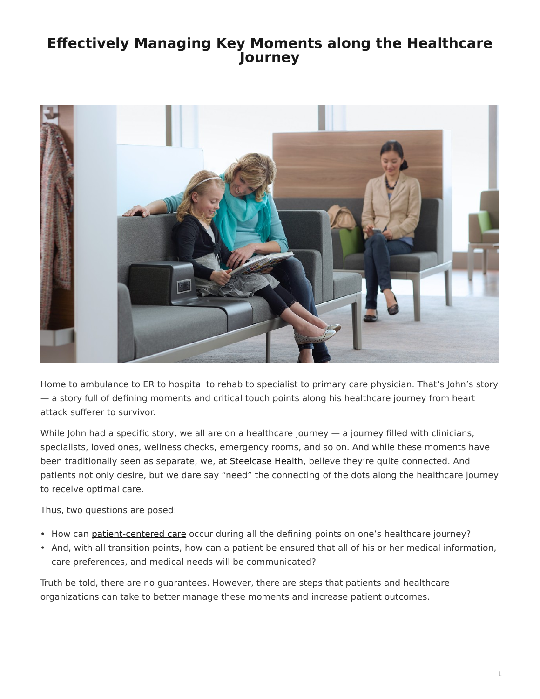# <span id="page-0-0"></span>**Effectively Managing Key Moments along the Healthcare Journey**



Home to ambulance to ER to hospital to rehab to specialist to primary care physician. That's John's story — a story full of defining moments and critical touch points along his healthcare journey from heart attack sufferer to survivor.

While John had a specific story, we all are on a healthcare journey — a journey filled with clinicians, specialists, loved ones, wellness checks, emergency rooms, and so on. And while these moments have been traditionally seen as separate, we, at [Steelcase Health,](https://www.steelcase.com/discover/information/health/) believe they're quite connected. And patients not only desire, but we dare say "need" the connecting of the dots along the healthcare journey to receive optimal care.

Thus, two questions are posed:

- How can [patient-centered care](http://planetree.org/wp-content/uploads/2012/01/Patient-Centered-Care-Improvement-Guide-10-28-09-Final.pdf) occur during all the defining points on one's healthcare journey?
- And, with all transition points, how can a patient be ensured that all of his or her medical information, care preferences, and medical needs will be communicated?

Truth be told, there are no guarantees. However, there are steps that patients and healthcare organizations can take to better manage these moments and increase patient outcomes.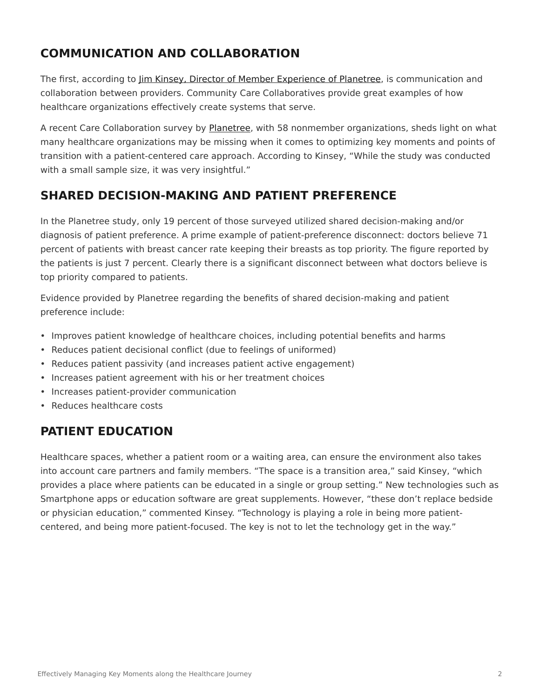## **COMMUNICATION AND COLLABORATION**

The first, according to [Jim Kinsey, Director of Member Experience of Planetree](http://planetree.org/wp-content/uploads/2011/12/Jim-Kinsey-2012.pdf), is communication and collaboration between providers. Community Care Collaboratives provide great examples of how healthcare organizations effectively create systems that serve.

A recent Care Collaboration survey by [Planetree](http://planetree.org/), with 58 nonmember organizations, sheds light on what many healthcare organizations may be missing when it comes to optimizing key moments and points of transition with a patient-centered care approach. According to Kinsey, "While the study was conducted with a small sample size, it was very insightful."

### **SHARED DECISION-MAKING AND PATIENT PREFERENCE**

In the Planetree study, only 19 percent of those surveyed utilized shared decision-making and/or diagnosis of patient preference. A prime example of patient-preference disconnect: doctors believe 71 percent of patients with breast cancer rate keeping their breasts as top priority. The figure reported by the patients is just 7 percent. Clearly there is a significant disconnect between what doctors believe is top priority compared to patients.

Evidence provided by Planetree regarding the benefits of shared decision-making and patient preference include:

- Improves patient knowledge of healthcare choices, including potential benefits and harms
- Reduces patient decisional conflict (due to feelings of uniformed)
- Reduces patient passivity (and increases patient active engagement)
- Increases patient agreement with his or her treatment choices
- Increases patient-provider communication
- Reduces healthcare costs

#### **PATIENT EDUCATION**

Healthcare spaces, whether a patient room or a waiting area, can ensure the environment also takes into account care partners and family members. "The space is a transition area," said Kinsey, "which provides a place where patients can be educated in a single or group setting." New technologies such as Smartphone apps or education software are great supplements. However, "these don't replace bedside or physician education," commented Kinsey. "Technology is playing a role in being more patientcentered, and being more patient-focused. The key is not to let the technology get in the way."